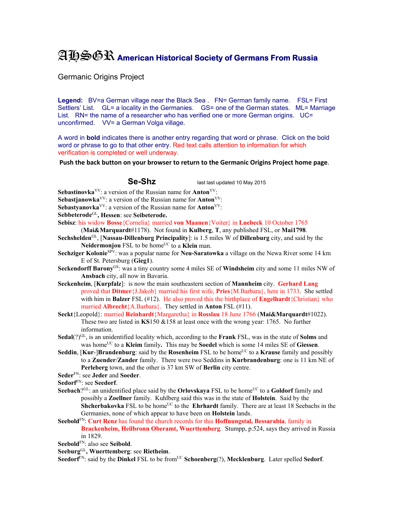## AHSGR **American Historical Society of Germans From Russia**

Germanic Origins Project

Legend: BV=a German village near the Black Sea . FN= German family name. FSL= First Settlers' List. GL= a locality in the Germanies. GS= one of the German states. ML= Marriage List. RN= the name of a researcher who has verified one or more German origins. UC= unconfirmed. VV= a German Volga village.

A word in **bold** indicates there is another entry regarding that word or phrase. Click on the bold word or phrase to go to that other entry. Red text calls attention to information for which verification is completed or well underway.

**Push the back button on your browser to return to the Germanic Origins Project home page**.

Se-Shz last last updated 10 May 2015

**Sebastinovka**VV: a version of the Russian name for **Anton**VV:

**Sebastjanowka**<sup>VV</sup>: a version of the Russian name for **Anton**<sup>VV</sup>:

**Sebastyanovka**<sup>VV</sup>: a version of the Russian name for **Anton**<sup>VV</sup>:

**Sebbeterode**GL**, Hessen**: see **Seibeterode.**

**Sebisz**: his widow **Bosse**{Cornelia} married **von Maanen**{Voiter} in **Luebeck** 10 October 1765

(**Mai&Marquardt**#1178). Not found in **Kulberg**, **T**, any published FSL, or **Mai1798**.

- **Sechshelden**GL, [**Nassau-Dillenburg Principality**]: is 1.5 miles W of **Dillenburg** city, and said by the **Neidermonjou** FSL to be home<sup>UC</sup> to a **Klein** man.
- **Sechziger Kolonie**SPV: was a popular name for **Neu-Saratowka** a village on the Newa River some 14 km E of St. Petersburg (**Gieg1**).
- **Seckendorff Barony**GS: was a tiny country some 4 miles SE of **Windsheim** city and some 11 miles NW of **Ansbach** city, all now in Bavaria.
- **Seckenheim**, [**Kurpfalz**]: is now the main southeastern section of **Mannheim** city. **Gerhard Lang** proved that **Ditmer**{J.Jakob} married his first wife, **Pries**{M.Barbara}, here in 1733. She settled with him in **Balzer** FSL (#12). He also proved this the birthplace of **Engelhardt**{Christian} who married **Albrecht**{A.Barbara}. They settled in **Anton** FSL (#11).
- **Seckt**{Leopold}: married **Reinhardt**{Margaretha} in **Rosslau** 18 June 1766 (**Mai&Marquardt**#1022). These two are listed in **KS**150 &158 at least once with the wrong year: 1765. No further information.
- **Sedal**(?)GL, is an unidentified locality which, according to the **Frank** FSL, was in the state of **Solms** and was homeUC to a **Kleim** family**.** This may be **Soedel** which is some 14 miles SE of **Giessen**.
- **Seddin, [Kur-]Brandenburg**: said by the **Rosenheim** FSL to be home<sup>UC</sup> to a **Krause** family and possibly to a **Zuender**/**Zander** family. There were two Seddins in **Kurbrandenburg**: one is 11 km NE of **Perleberg** town, and the other is 37 km SW of **Berlin** city centre.
- **Seder**FN: see **Jeder** and **Soeder**.
- **Sedorf**FN: see **Seedorf**.
- **Seebach**?<sup>GL</sup>: an unidentified place said by the **Orlovskaya** FSL to be home<sup>UC</sup> to a **Goldorf** family and possibly a **Zoellner** family. Kuhlberg said this was in the state of **Holstein**. Said by the **Shcherbakovka** FSL to be home<sup>UC</sup> to the **Ehrhardt** family. There are at least 18 Seebachs in the Germanies, none of which appear to have been on **Holstein** lands.
- **Seebold**FN: **Curt Renz** has found the church records for this **Hoffnungstal, Bessarabia**, family in **Brackenheim, Heilbronn Oberamt, Wuerttemberg**. Stumpp, p.524, says they arrived in Russia in 1829.
- **Seebold**FN: also see **Seibold**.
- **Seeburg**GL**, Wuerttemberg**: see **Rietheim**.

Seedorf<sup>FN</sup>: said by the Dinkel FSL to be from<sup>UC</sup> Schoenberg(?), Mecklenburg. Later spelled Sedorf.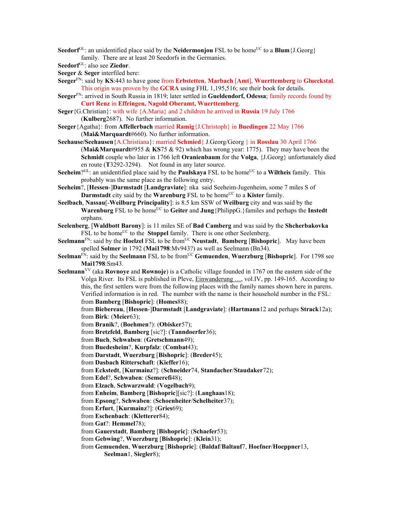**Seedorf**<sup>GL</sup>: an unidentified place said by the **Neidermonjou** FSL to be home<sup>UC</sup> to a **Blum**{J.Georg} family. There are at least 20 Seedorfs in the Germanies.

**Seedorf**GL: also see **Ziedor**.

**Seeger** & **Seger** interfiled here:

**Seeger**FN: said by **KS**:443 to have gone from **Erbstetten**, **Marbach** [**Amt**], **Wuerttemberg** to **Glueckstal**. This origin was proven by the **GCRA** using FHL 1,195,516; see their book for details.

**Seeger**FN: arrived in South Russia in 1819; later settled in **Gueldendorf, Odessa**; family records found by **Curt Renz** in **Effringen, Nagold Oberamt, Wuerttemberg**.

**Seger**{G.Christian}: with wife {A.Maria} and 2 children he arrived in **Russia** 19 July 1766 (**Kulberg**2687). No further information.

**Seeger**{Agatha}: from **Affellerbach** married **Ramig**{J.Christoph} in **Buedingen** 22 May 1766 (**Mai&Marquardt**#660). No further information.

**Seehause/Seehausen**{A.Christiana}: married **Schmied**{ J.Georg/Georg } in **Rosslau** 30 April 1766 (**Mai&Marquardt**#955 & **KS**75 & 92) which has wrong year: 1775). They may have been the **Schmidt** couple who later in 1766 left **Oranienbaum** for the **Volga**, {J.Georg} unfortunately died en route (**T**3292-3294). Not found in any later source.

**Seeheim**?<sup>GL</sup>: an unidentified place said by the **Paulskaya** FSL to be home<sup>UC</sup> to a **Wiltheis** family. This probably was the same place as the following entry.

**Seeheim**?, [**Hessen**-]**Darmstadt** [**Landgraviate**]: nka said Seeheim-Jugenheim, some 7 miles S of **Darmstadt** city said by the **Warenburg** FSL to be home<sup>UC</sup> to a **Kister** family.

**Seelbach**, **Nassau**[-**Weilburg Principality**]: is 8.5 km SSW of **Weilburg** city and was said by the Warenburg FSL to be home<sup>UC</sup> to Geiter and Jung {PhilippG.} familes and perhaps the Instedt orphans.

- **Seelenberg**, [**Waldbott Barony**]: is 11 miles SE of **Bad Camberg** and was said by the **Shcherbakovka** FSL to be home<sup>UC</sup> to the **Stoppel** family. There is one other Seelenberg.
- **Seelmann**<sup>FN</sup>: said by the **Hoelzel** FSL to be from<sup>UC</sup> **Neustadt**, **Bamberg** [Bishopric]. May have been spelled **Solmer** in 1792 (**Mai1798**:Mv943?) as well as Seelmann (Bn34).
- **Seelman**<sup>FN</sup>: said by the **Seelmann** FSL to be from<sup>UC</sup> **Gemuenden. Wuerzburg [Bishopric**]. For 1798 see **Mai1798**:Sm43.

**Seelmann**VV (aka **Rovnoye** and **Rownoje**) is a Catholic village founded in 1767 on the eastern side of the Volga River. Its FSL is published in Pleve, Einwanderung …, vol.IV, pp. 149-165. According to this, the first settlers were from the following places with the family names shown here in parens. Verified information is in red. The number with the name is their household number in the FSL: from **Bamberg** [**Bishopric**]: (**Homes**88);

from **Biebereau**, [**Hessen**-]**Darmstadt** [**Landgraviate**]: (**Hartmann**12 and perhaps **Strack**12a); from **Birk**: (**Meier**63);

from **Branik**?, (**Boehmen**?): (**Obisker**57);

from **Bretzfeld**, **Bamberg** [sic?]: (**Tanndoerfer**36);

from **Buch**, **Schwaben**: (**Gretschmann**49);

from **Buedesheim**?, **Kurpfalz**: (**Combat**43);

from **Darstadt**, **Wuerzburg** [**Bishopric**]: (**Breder**45);

from **Dasbach Ritterschaft**: (**Kieffer**16);

from **Eckstedt**, [**Kurmainz**?]: (**Schneider**74, **Standacher**/**Staudaker**72);

from **Edel**?, **Schwaben**: (**Semerefi**48);

from **Elzach**, **Schwarzwald**: (**Vogelbach**9);

from **Enheim**, **Bamberg** [**Bishopric**][sic?]: (**Langhaas**18);

from **Epsong**?, **Schwaben**: (**Schoenheiter**/**Schelheiter**37);

from **Erfurt**, [**Kurmainz**?]: (**Gries**69);

from **Eschenbach**: (**Kletterer**84);

from **Gat**?: **Hemmel**78);

from **Gauerstadt**, **Bamberg** [**Bishopric**]: (**Schaefer**53);

from **Gebwing**?, **Wuerzburg** [**Bishopric**]: (**Klein**31);

from **Gemuenden**, **Wuerzburg** [**Bishopric**]: (**Baldaf**/**Baltauf**7, **Hoefner**/**Hoeppner**13,

**Seelman**1, **Siegler**8);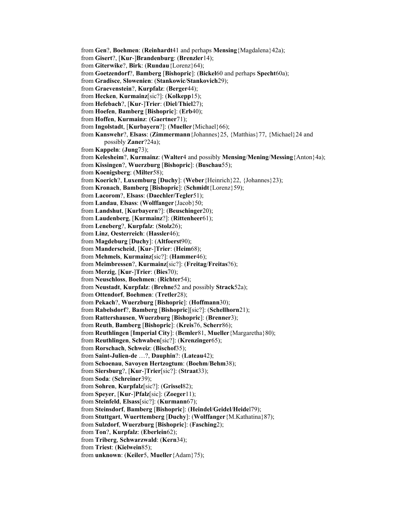from **Gen**?, **Boehmen**: (**Reinhardt**41 and perhaps **Mensing**{Magdalena}42a); from **Gisert**?, [**Kur**-]**Brandenburg**: (**Brenzler**14); from **Giterwike**?, **Birk**: (**Rundau**{Lorenz}64); from **Goetzendorf**?, **Bamberg** [**Bishopric**]: (**Bickel**60 and perhaps **Specht**60a); from **Gradisce**, **Slowenien**: (**Stankowic**/**Stankovich**29); from **Graevenstein**?, **Kurpfalz**: (**Berger**44); from **Hecken**, **Kurmainz**[sic?]: (**Kolkepp**15); from **Hefebach**?, [**Kur**-]**Trier**: (**Diel**/**Thiel**27); from **Hoefen**, **Bamberg** [**Bishopric**]: (**Erb**40); from **Hoffen**, **Kurmainz**: (**Gaertner**71); from **Ingolstadt**, [**Kurbayern**?]: (**Mueller**{Michael}66); from **Kanswehr**?, **Elsass**: (**Zimmermann**{Johannes}25, {Matthias}77, {Michael}24 and possibly **Zaner**?24a); from **Kappeln**: (**Jung**73); from **Kelesheim**?, **Kurmainz**: (**Walter**4 and possibly **Mensing**/**Mening**/**Messing**{Anton}4a); from **Kissingen**?, **Wuerzburg** [**Bishopric**]: (**Buschau**55); from **Koenigsberg**: (**Milter**58); from **Koerich**?, **Luxemburg** [**Duchy**]: (**Weber**{Heinrich}22, {Johannes}23); from **Kronach**, **Bamberg** [**Bishopric**]: (**Schmidt**{Lorenz}59); from **Lacorom**?, **Elsass**: (**Daechler/Tegler**51); from **Landau**, **Elsass**: (**Wolffanger**{Jacob}50; from **Landshut**, [**Kurbayern**?]: (**Beuschinger**20); from **Laudenberg**, [**Kurmainz**?]: (**Rittenheer**61); from **Leneberg**?, **Kurpfalz**: (**Stolz**26); from **Linz**, **Oesterreich**: (**Hassler**46); from **Magdeburg** [**Duchy**]: (**Altfoerst**90); from **Manderscheid**, [**Kur**-]**Trier**: (**Heim**68); from **Mehmels**, **Kurmainz**[sic?]: (**Hammer**46); from **Meimbressen**?, **Kurmainz**[sic?]: (**Freitag**/**Freitas**?6); from **Merzig**, [**Kur**-]**Trier**: (**Bies**70); from **Neuschloss**, **Boehmen**: (**Richter**54); from **Neustadt**, **Kurpfalz**: (**Brehne**52 and possibly **Strack**52a); from **Ottendorf**, **Boehmen**: (**Tretler**28); from **Pekach**?, **Wuerzburg** [**Bishopric**]: (**Hoffmann**30); from **Rabelsdorf**?, **Bamberg** [**Bishopric**][sic?]: (**Schellhorn**21); from **Rattershausen**, **Wuerzburg** [**Bishopric**]: (**Brenner**3); from **Reuth**, **Bamberg** [**Bishopric**]: (**Kreis**76, **Scherr**86); from **Reuthlingen** [**Imperial City**]: (**Bemler**81, **Mueller**{Margaretha}80); from **Reuthlingen**, **Schwaben**[sic?]: (**Krenzinger**65); from **Rorschach**, **Schweiz**: (**Bischof**35); from **Saint-Julien-de** …?, **Dauphin**?: (**Lateau**42); from **Schoenau**, **Savoyen Hertzogtum**: (**Boehm**/**Behm**38); from **Siersburg**?, [**Kur**-]**Trier**[sic?]: (**Straat**33); from **Soda**: (**Schreiner**39); from **Sohren**, **Kurpfalz**[sic?]: (**Grissel**82); from **Speyer**, [**Kur**-]**Pfalz**[sic]: (**Zoeger**11); from **Steinfeld**, **Elsass**[sic?]: (**Kurmann**67); from **Steinsdorf**, **Bamberg** [**Bishopric**]: (**Heindel**/**Geidel**/**Heide**l79); from **Stuttgart**, **Wuerttemberg** [**Duchy**]: (**Wolffanger**{M.Kathatina}87); from **Sulzdorf**, **Wuerzburg** [**Bishopric**]: (**Fasching**2); from **Ton**?, **Kurpfalz**: (**Eberlein**62); from **Triberg**, **Schwarzwald**: (**Kern**34); from **Triest**: (**Kielwein**85); from **unknown**: (**Keiler**5, **Mueller**{Adam}75);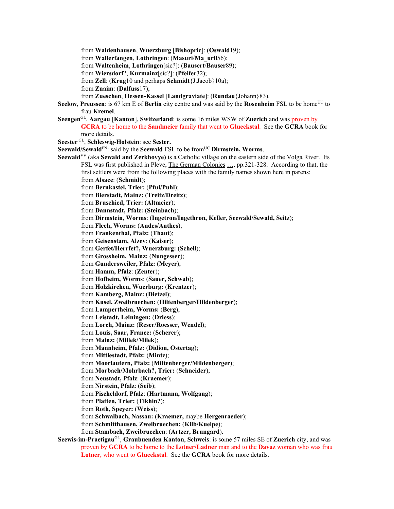from **Waldenhausen**, **Wuerzburg** [**Bishopric**]: (**Oswald**19);

from **Wallerfangen**, **Lothringen**: (**Masuri**/**Ma\_uril**56);

from **Waltenheim**, **Lothringen**[sic?]: (**Bausert**/**Bauser**89);

from **Wiersdorf**?, **Kurmainz**[sic?]: (**Pfeifer**32);

from **Zell**: (**Krug**10 and perhaps **Schmidt**{J.Jacob}10a);

from **Znaim**: (**Dalfuss**17);

from **Zueschen**, **Hessen-Kassel** [**Landgraviate**]: (**Rundau**{Johann}83).

- **Seelow**, **Preussen**: is 67 km E of **Berlin** city centre and was said by the **Rosenheim** FSL to be home<sup>UC</sup> to frau **Kremel**.
- **Seengen**GL, **Aargau** [**Kanton**], **Switzerland**: is some 16 miles WSW of **Zuerich** and was proven by **GCRA** to be home to the **Sandmeier** family that went to **Glueckstal**. See the **GCRA** book for more details.

**Seester** GL, **Schleswig-Holstein**: see **Sester.** 

**Seewald/Sewald**FN: said by the **Seewald** FSL to be fromUC **Dirmstein, Worms**.

- **Seewald**<sup>VV</sup> (aka **Sewald and Zerkhovye)** is a Catholic village on the eastern side of the Volga River. Its FSL was first published in Pleve, The German Colonies ..., pp.321-328. According to that, the first settlers were from the following places with the family names shown here in parens: from **Alsace**: (**Schmidt**);
	- from **Bernkastel, Trier:** (**Pful/Puhl**);

from **Bierstadt, Mainz:** (**Treitz**/**Dreitz**);

from **Bruschied, Trier:** (**Altmeier**);

from **Dannstadt, Pfalz:** (**Steinbach**);

from **Dirmstein, Worms**: (**Ingetron/Ingethron, Keller, Seewald/Sewald, Seitz**);

from **Flech, Worms:** (**Andes/Anthes**);

from **Frankenthal, Pfalz:** (**Thaut**);

from **Geisenstam, Alzey**: (**Kaiser**);

from **Gerfet/Herrfet?, Wuerzburg:** (**Schell**);

from **Grossheim, Mainz:** (**Nungesser**);

from **Gundersweiler, Pfalz:** (**Meyer**);

from **Hamm, Pfalz**: (**Zenter**);

from **Hofheim, Worms**: (**Sauer, Schwab**); from **Holzkirchen, Wuerburg:** (**Krentzer**);

from **Kamberg, Mainz:** (**Dietzel**);

from **Kusel, Zweibruechen:** (**Hiltenberger/Hildenberger**);

from **Lampertheim, Worms:** (**Berg**);

from **Leistadt, Leiningen:** (**Driess**);

from **Lorch, Mainz:** (**Reser/Roesser, Wendel**);

from **Louis, Saar, France:** (**Scherer**);

from **Mainz:** (**Millek/Milek**);

from **Mannheim, Pfalz:** (**Didion, Ostertag**);

from **Mittlestadt, Pfalz:** (**Mintz**);

from **Moorlautern, Pfalz:** (**Miltenberger/Mildenberger**);

from **Morbach/Mohrbach?, Trier:** (**Schneider**);

from **Neustadt, Pfalz**: (**Kraemer**);

from **Nirstein, Pfalz**: (**Seib**);

from **Pischeldorf, Pfalz**: (**Hartmann, Wolfgang**);

from **Platten, Trier:** (**Tikhin?**);

from **Roth, Speyer:** (**Weiss**);

from **Schwalbach, Nassau:** (**Kraemer,** maybe **Hergenraeder**);

from **Schmitthausen, Zweibruechen:** (**Kilb/Kuelpe**);

from **Stambach, Zweibruechen**: (**Artzer, Brungard**).

**Seewis-im-Praetigau**GL, **Graubuenden Kanton**, **Schweis**: is some 57 miles SE of **Zuerich** city, and was proven by **GCRA** to be home to the **Lotner/Ladner** man and to the **Davaz** woman who was frau **Lotner**, who went to **Glueckstal**. See the **GCRA** book for more details.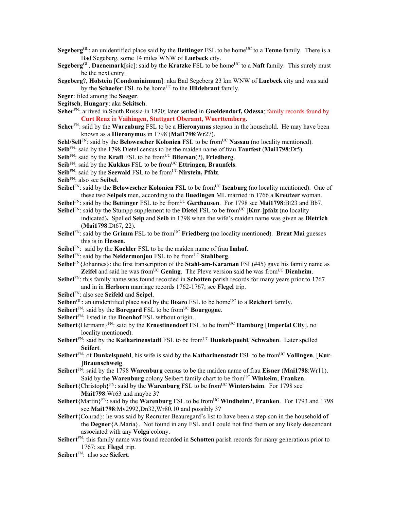- **Segeberg**<sup>GL</sup>: an unidentified place said by the **Bettinger** FSL to be home<sup>UC</sup> to a **Tenne** family. There is a Bad Segeberg, some 14 miles WNW of **Luebeck** city.
- **Segeberg**<sup>GL</sup>, **Daenemark**[sic]: said by the **Kratzke** FSL to be home<sup>UC</sup> to a **Naft** family. This surely must be the next entry.
- **Segeberg**?, **Holstein** [**Condominimum**]: nka Bad Segeberg 23 km WNW of **Luebeck** city and was said by the **Schaefer** FSL to be home<sup>UC</sup> to the **Hildebrant** family.
- **Seger**: filed among the **Seeger**.
- **Segitsch**, **Hungary**: aka **Sekitsch**.
- **Seher**FN: arrived in South Russia in 1820; later settled in **Gueldendorf, Odessa**; family records found by **Curt Renz** in **Vaihingen, Stuttgart Oberamt, Wuerttemberg**.
- **Seher**FN: said by the **Warenburg** FSL to be a **Hieronymus** stepson in the household. He may have been known as a **Hieronymus** in 1798 (**Mai1798**:Wr27).
- **Sehl/Sell**<sup>FN</sup>: said by the **Belowescher Kolonien** FSL to be from<sup>UC</sup> **Nassau** (no locality mentioned).
- **Seib**FN: said by the 1798 Dietel census to be the maiden name of frau **Tautfest** (**Mai1798**:Dt5).
- **Seib**<sup>FN</sup>: said by the **Kraft** FSL to be from<sup>UC</sup> **Bitersan**(?), **Friedberg**.
- **Seib**<sup>FN</sup>: said by the **Kukkus** FSL to be from<sup>UC</sup> **Ettringen, Braunfels**.
- Seib<sup>FN</sup>: said by the **Seewald** FSL to be from<sup>UC</sup> **Nirstein, Pfalz**.
- **Seib**FN: also see **Seibel**.
- **Seibel**<sup>FN</sup>: said by the **Belowescher Kolonien** FSL to be from<sup>UC</sup> **Isenburg** (no locality mentioned). One of these two **Seipels** men, according to the **Buedingen** ML married in 1766 a **Kreutzer** woman.
- **Seibel**<sup>FN</sup>: said by the **Bettinger** FSL to be from<sup>UC</sup> Gerthausen. For 1798 see Mai1798:Bt23 and Bb7.
- **Seibel**<sup>FN</sup>: said by the Stumpp supplement to the **Dietel** FSL to be from<sup>UC</sup> [**Kur-**]**pfalz** (no locality indicated)**.** Spelled **Seip** and **Seib** in 1798 when the wife's maiden name was given as **Dietrich** (**Mai1798**:Dt67, 22).
- Seibel<sup>FN</sup>: said by the Grimm FSL to be from<sup>UC</sup> Friedberg (no locality mentioned). Brent Mai guesses this is in **Hessen**.
- **Seibel**FN: said by the **Koehler** FSL to be the maiden name of frau **Imhof**.
- **Seibel**<sup>FN</sup>: said by the **Neidermonjou** FSL to be from<sup>UC</sup> **Stahlberg**.
- **Seibel**FN{Johannes}: the first transcription of the **Stahl-am-Karaman** FSL(#45) gave his family name as **Zeifel** and said he was from<sup>UC</sup> Gening. The Pleve version said he was from<sup>UC</sup> Dienheim.
- Seibel<sup>FN</sup>: this family name was found recorded in Schotten parish records for many years prior to 1767 and in in **Herborn** marriage records 1762-1767; see **Flegel** trip.
- **Seibel**FN: also see **Seifeld** and **Seipel**.
- Seiben<sup>GL</sup>: an unidentified place said by the **Boaro** FSL to be home<sup>UC</sup> to a **Reichert** family.
- **Seibert**<sup>FN</sup>: said by the **Boregard** FSL to be from<sup>UC</sup> **Bourgogne**.
- **Seibert**FN: listed in the **Doenhof** FSL without origin.
- Seibert {Hermann}<sup>FN</sup>: said by the **Ernestinendorf** FSL to be from<sup>UC</sup> **Hamburg** [Imperial City], no locality mentioned).
- **Seibert**<sup>FN</sup>: said by the **Katharinenstadt** FSL to be from<sup>UC</sup> **Dunkelspuehl**, **Schwaben**. Later spelled **Seifert**.
- **Seibert**<sup>FN</sup>: of **Dunkelspuehl**, his wife is said by the **Katharinenstadt** FSL to be from<sup>UC</sup> **Vollingen**, [**Kur**-]**Braunschweig**.
- **Seibert**FN: said by the 1798 **Warenburg** census to be the maiden name of frau **Eisner** (**Mai1798**:Wr11). Said by the **Warenburg** colony Seibert family chart to be fromUC **Winkeim**, **Franken**.
- **Seibert**{Christoph}<sup>FN</sup>: said by the **Warenburg** FSL to be from<sup>UC</sup> **Wintersheim**. For 1798 see **Mai1798**:Wr63 and maybe 3?
- **Seibert**{Martin}<sup>FN</sup>: said by the **Warenburg** FSL to be from<sup>UC</sup> **Windheim**?, **Franken**. For 1793 and 1798 see **Mai1798**:Mv2992,Dn32,Wr80,10 and possibly 3?
- **Seibert**{Conrad}: he was said by Recruiter Beauregard's list to have been a step-son in the household of the **Degner**{A.Maria}. Not found in any FSL and I could not find them or any likely descendant associated with any **Volga** colony.
- **Seibert**FN: this family name was found recorded in **Schotten** parish records for many generations prior to 1767; see **Flegel** trip.
- **Seibert**FN: also see **Siefert**.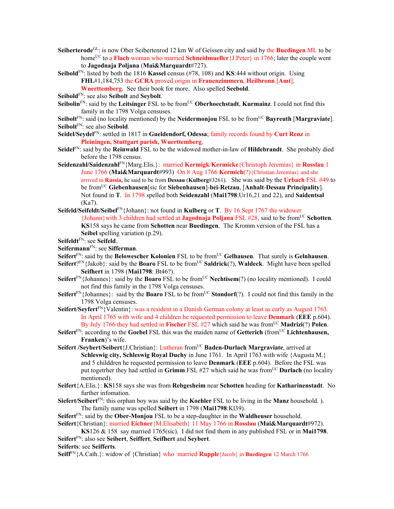- **Seiberterode**GL: is now Ober Seibertenrod 12 km W of Geissen city and said by the **Buedingen** ML to be home<sup>UC</sup> to a **Flach** woman who married **Schneidmueller**{J.Peter} in 1766; later the couple went to **Jagodnaja Poljana** (**Mai&Marquardt**#727).
- **Seibold**FN: listed by both the 1816 **Kassel** census (#78, 108) and **KS**:444 without origin. Using **FHL**#1,184,753 the **GCRA** proved origin in **Frauenzimmern**, **Heilbronn** [**Amt**],
	- **Wuerttemberg**. See their book for more. Also spelled **Seebold**.

**Seibold**FN: see also **Seibolt** and **Seybolt**.

- **Seibolin**<sup>FN</sup>: said by the **Leitsinger** FSL to be from<sup>UC</sup> **Oberhoechstadt**, **Kurmainz**. I could not find this family in the 1798 Volga censuses.
- **Seibolt**<sup>FN</sup>: said (no locality mentioned) by the **Neidermonjou** FSL to be from<sup>UC</sup> **Bayreuth** [**Margraviate**]. **Seibolt**FN: see also **Seibold**.
- **Seidel/Seydel**FN: settled in 1817 in **Gueldendorf, Odessa**; family records found by **Curt Renz** in **Pleiningen, Stuttgart parish, Wuerttemberg**.
- **Seidel**FN: said by the **Reinwald** FSL to be the widowed mother-in-law of **Hildebrandt**. She probably died before the 1798 census.
- **Seidenzahl/Saidenzahl**FN{Marg.Elis.}: married **Kermigk**/**Kermicke**{Christoph Jeremias} in **Rosslau** 1 June 1766 (**Mai&Marquardt**#993) On 8 Aug 1766 **Kermich**(?){Christian Jeremias} and she arrived in **Russia,** he said to be from **Dessau** (**Kulberg**#3261). She was said by the **Urbach** FSL #49 to be fromUC **Giebenhausen**[sic for **Siebenhausen**]-**bei**-**Retzau**, [**Anhalt**-**Dessau Principality**]. Not found in **T**. In 1798 spelled both **Seidenzahl** (**Mai1798**:Ur16,21 and 22), and **Saidentsal** (Ka7).
- **Seifeld/Seifeldt/Seibel**FN{Johann}: not found in **Kulberg** or **T**. By 16 Sept 1767 the widower {Johann}with 3 children had settled at **Jagodnaja Poljana** FSL #28, said to be fromUC **Schotten**. **KS**158 says he came from **Schotten** near **Buedingen**. The Kromm version of the FSL has a **Seibel** spelling variation (p.29).
- **Seifeldt**FN: see **Seifeld**.

## **Seifermann**FN: see **Sifferman**.

- **Seifert**FN: said by the **Belowescher Kolonien** FSL to be fromUC **Gelhausen**. That surely is **Gelnhausen**.
- **Seifert**? $F^N$ {Jakob}: said by the **Boaro** FSL to be from<sup>UC</sup> **Saldrick**(?), **Waldeck**. Might have been spelled **Seifhert** in 1798 (**Mai1798**: Bt46?).
- **Seifert**<sup>FN</sup>{Johannes}: said by the **Boaro** FSL to be from<sup>UC</sup> **Nechtisem**(?) (no locality mentioned). I could not find this family in the 1798 Volga censuses.
- **Seifert**<sup>FN</sup>{Johannes}: said by the **Boaro** FSL to be from<sup>UC</sup> **Stondorf**(?). I could not find this family in the 1798 Volga censuses.
- **Seifert/Seyfert**FN{Valentin}: was a resident in a Danish German colony at least as early as August 1763. In April 1765 with wife and 4 children he requested permission to leave **Denmark** (**EEE** p.604). By July 1766 they had settled in **Fischer** FSL #27 which said he was from<sup>UC</sup> **Madrizi**(?) **Polen**.
- Seifert<sup>FN</sup>: according to the Goebel FSL this was the maiden name of Getterich (from<sup>UC</sup> Lichtenhausen, **Franken**)'s wife.
- **Seifert /Seybert/Seibert**{J.Christian}: Lutheran fromUC **Baden-Durlach Margraviate**, arrived at **Schleswig city, Schleswig Royal Duchy** in June 1761. In April 1763 with wife {Augusta M.} and 5 childdren he requested permission to leave **Denmark** (**EEE** p.604). Before the FSL was put togetrher they had settled in Grimm FSL #27 which said he was from<sup>UC</sup> Durlach (no locality mentioned).
- **Seifert**{A.Elis.}: **KS**158 says she was from **Rebgesheim** near **Schotten** heading for **Katharinenstadt**. No further infomation.
- **Siefert/Seibert**FN: this orphan boy was said by the **Koehler** FSL to be living in the **Manz** household. ). The family name was spelled **Seibert** in 1798 (**Mai1798**:Kl39).
- **Seifert**FN: said by the **Ober-Monjou** FSL to be a step-daughter in the **Waldheuser** household.

```
Seifert{Christian}: married Eichner{M.Elisabeth} 11 May 1766 in Rosslau (Mai&Marquardt#972).
```
**KS**126 & 158 say married 1765(sic). I did not find them in any published FSL or in **Mai1798**. **Seifert**FN: also see **Seibert**, **Seiffert**, **Seifhert** and **Seybert**.

**Seiferts**: see **Seifferts**.

**Seiff**FN{A.Cath.}: widow of {Christian} who married **Rupple**{Jacob} in **Buedingen** 12 March 1766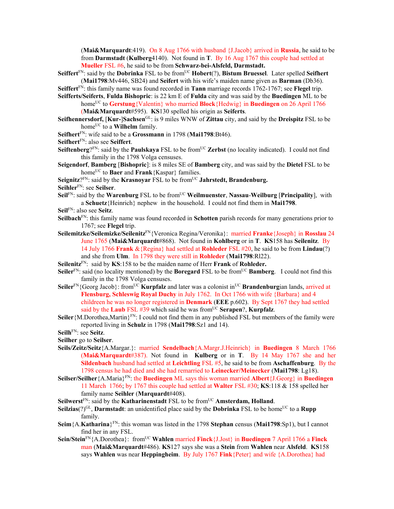(**Mai&Marquardt**:419). On 8 Aug 1766 with husband {J.Jacob} arrived in **Russia**, he said to be from **Darmstadt** (**Kulberg**4140). Not found in **T**. By 16 Aug 1767 this couple had settled at **Mueller** FSL #6, he said to be from **Schwarz-bei-Alsfeld, Darmstadt.** 

**Seiffert**FN: said by the **Dobrinka** FSL to be fromUC **Hobert**(?), **Bistum Bruessel**. Later spelled **Seifhert** (**Mai1798**:Mv446, SB24) and **Seifert** with his wife's maiden name given as **Barman** (Db36).

**Seiffert**FN: this family name was found recorded in **Tann** marriage records 1762-1767; see **Flegel** trip.

**Seifferts/Seiferts**, **Fulda Bishopric**: is 22 km E of **Fulda** city and was said by the **Buedingen** ML to be home<sup>UC</sup> to **Gerstung**{Valentin} who married **Block**{Hedwig} in **Buedingen** on 26 April 1766

(**Mai&Marquardt**#595). **KS**130 spelled his origin as **Seiferts**.

- **Seifhennersdorf,** [**Kur-**]**Sachsen**GL: is 9 miles WNW of **Zittau** city, and said by the **Dreispitz** FSL to be home<sup>UC</sup> to a **Wilhelm** family.
- **Seifhert**FN: wife said to be a **Grossmann** in 1798 (**Mai1798**:Bt46).
- **Seifhert**FN: also see **Seiffert**.
- Seiftenberg?<sup>FN</sup>: said by the **Paulskaya** FSL to be from<sup>UC</sup> Zerbst (no locality indicated). I could not find this family in the 1798 Volga censuses.
- **Seigendorf**, **Bamberg** [**Bishopric**]: is 8 miles SE of **Bamberg** city, and was said by the **Dietel** FSL to be home<sup>UC</sup> to **Baer** and **Frank**{Kaspar} families.
- Seignitz?<sup>FN</sup>: said by the **Krasnoyar** FSL to be from<sup>UC</sup> Jahrstedt, Brandenburg.

**Seihler**FN: see **Seilser**.

- **Seil**FN: said by the **Warenburg** FSL to be from<sup>UC</sup> **Weilmuenster**, **Nassau-Weilburg** [**Principality**], with a **Schuetz**{Heinrich} nephew in the household. I could not find them in **Mai1798**.
- **Seil**FN: also see **Seitz**.
- **Seilbach**<sup>FN</sup>: this family name was found recorded in **Schotten** parish records for many generations prior to 1767; see **Flegel** trip.
- **Seilemitzke/Seilemizke/Seilenitz**FN{Veronica Regina/Veronika}: married **Franke**{Joseph} in **Rosslau** 24 June 1765 (**Mai&Marquardt**#868). Not found in **Kohlberg** or in **T**. **KS**158 has **Seilenitz**. By 14 July 1766 **Frank** &{Regina} had settled at **Rohleder** FSL #20, he said to be from **Lindau**(?) and she from **Ulm**. In 1798 they were still in **Rohleder** (**Mai1798**:Rl22).
- **Seilenitz**FN: said by **KS**:158 to be the maiden name of Herr **Frank** of **Rohleder.**
- **Seiler**<sup>FN</sup>: said (no locality mentioned) by the **Boregard** FSL to be from<sup>UC</sup> **Bamberg**. I could not find this family in the 1798 Volga censuses.
- **Seiler**<sup>FN</sup>{Georg Jacob}: from<sup>UC</sup> **Kurpfalz** and later was a colonist in<sup>UC</sup> **Brandenburgian** lands, arrived at Flensburg, Schleswig Royal Duchy in July 1762. In Oct 1766 with wife {Barbara} and 4 childreen he was no longer registered in **Denmark** (**EEE** p.602). By Sept 1767 they had settled said by the **Laub** FSL  $#39$  which said he was from<sup>UC</sup> **Serapen**?, **Kurpfalz**.
- Seiler {M.Dorothea, Martin}<sup>FN</sup>: I could not find them in any published FSL but members of the family were reported living in **Schulz** in 1798 (**Mai1798**:Sz1 and 14).
- **Seilh**FN: see **Seitz**.

**Seilher** go to **Seilser**.

- **Seils/Zeitz/Seitz**{A.Margar.}: married **Sendelbach**{A.Margr.J.Heinrich} in **Buedingen** 8 March 1766 (**Mai&Marquardt**#387). Not found in **Kulberg** or in **T**. By 14 May 1767 she and her **Sildenbach** husband had settled at **Leichtling** FSL #5, he said to be from **Aschaffenburg**. By the 1798 census he had died and she had remarried to **Leinecker/Meinecker** (**Mai1798**: Lg18).
- **Seilser/Seilher**{A.Maria}FN: the **Buedingen** ML says this woman married **Albert**{J.Georg} in **Buedingen**  11 March 1766; by 1767 this couple had settled at **Walter** FSL #30; **KS**:118 & 158 spelled her family name **Seihler** (**Marquardt**#408).
- **Seilwerst**<sup>FN</sup>: said by the **Katharinenstadt** FSL to be from<sup>UC</sup> **Amsterdam, Holland**.
- **Seilzias**(?)<sup>GL</sup>, **Darmstadt**: an unidentified place said by the **Dobrinka** FSL to be home<sup>UC</sup> to a **Rupp** family.
- **Seim**{A.**Katharina**}FN: this woman was listed in the 1798 **Stephan** census (**Mai1798**:Sp1), but I cannot find her in any FSL.
- **Sein/Stein**FN{A.Dorothea}: fromUC **Wahlen** married **Finck**{J.Jost} in **Buedingen** 7 April 1766 a **Finck** man (**Mai&Marquardt**#486). **KS**127 says she was a **Stein** from **Wahlen** near **Alsfeld**. **KS**158 says **Wahlen** was near **Heppingheim**. By July 1767 **Fink**{Peter} and wife {A.Dorothea} had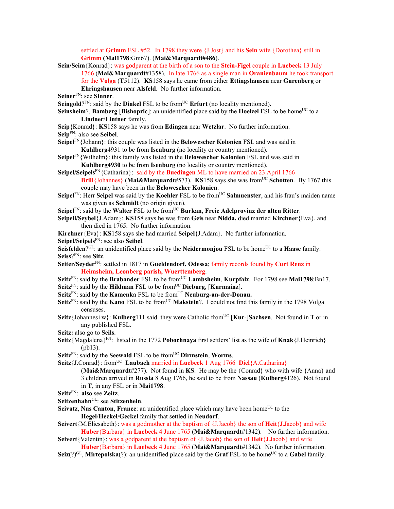settled at **Grimm** FSL #52. In 1798 they were {J.Jost} and his **Sein** wife {Dorothea} still in **Grimm (Mai1798**:Gm67). (**Mai&Marquardt#486**).

**Sein/Seim**{Konrad}: was godparent at the birth of a son to the **Stein-Figel** couple in **Luebeck** 13 July 1766 (**Mai&Marquardt**#1358). In late 1766 as a single man in **Oranienbaum** he took transport for the **Volga** (**T**5112). **KS**158 says he came from either **Ettingshausen** near **Gurenberg** or **Ehringshausen** near **Alsfeld**. No further information.

**Seiner**FN: see **Sinner**.

**Seingold**?FN: said by the **Dinkel** FSL to be from<sup>UC</sup> **Erfurt** (no locality mentioned).

- **Seinsheim**?, **Bamberg** [Bishopric]: an unidentified place said by the **Hoelzel** FSL to be home<sup>UC</sup> to a **Lindner**/**Lintner** family.
- **Seip**{Konrad}: **KS**158 says he was from **Edingen** near **Wetzlar**. No further information.
- **Seip**FN: also see **Seibel**.
- **Seipel**FN{Johann}: this couple was listed in the **Belowescher Kolonien** FSL and was said in **Kuhlberg**4931 to be from **Isenburg** (no locality or country mentioned).
- **Seipel**FN{Wilhelm}: this family was listed in the **Belowescher Kolonien** FSL and was said in **Kuhlberg4930** to be from **Isenburg** (no locality or country mentioned).
- **Seipel/Seipels**FN{Catharina}: said by the **Buedingen** ML to have married on 23 April 1766 **Brill**{Johannes} (Mai&Marquardt#573). **KS**158 says she was from<sup>UC</sup> Schotten. By 1767 this couple may have been in the **Belowescher Kolonien**.
- **Seipel**<sup>FN</sup>: Herr **Seipel** was said by the **Koehler** FSL to be from<sup>UC</sup> **Salmuenster**, and his frau's maiden name was given as **Schmidt** (no origin given).
- **Seipel**FN: said by the **Walter** FSL to be fromUC **Burkan**, **Freie Adelprovinz der alten Ritter**.
- **Seipell/Seybel**{J.Adam}: **KS**158 says he was from **Geis** near **Nidda,** died married **Kirchner**{Eva}, and then died in 1765. No further information.

**Kirchner**{Eva}: **KS**158 says she had married **Seipel**{J.Adam}. No further information.

**Seipel/Seipels**FN: see also **Seibel**.

**Seisfelden**?<sup>GL</sup>: an unidentified place said by the **Neidermonjou** FSL to be home<sup>UC</sup> to a **Haase** family. **Seiss**?FN: see **Sitz**.

- **Seiter/Seyder**FN: settled in 1817 in **Gueldendorf, Odessa**; family records found by **Curt Renz** in **Heimsheim, Leonberg parish, Wuerttemberg**.
- Seitz<sup>FN</sup>: said by the Brabander FSL to be from<sup>UC</sup> Lambsheim, Kurpfalz. For 1798 see Mai1798:Bn17.
- **Seitz**FN: said by the **Hildman** FSL to be fromUC **Dieburg**, [**Kurmainz**].
- **Seitz**<sup>FN</sup>: said by the **Kamenka** FSL to be from<sup>UC</sup> **Neuburg-an-der-Donau.**
- **Seitz**<sup>FN</sup>: said by the **Kano** FSL to be from<sup>UC</sup> **Makstein**?. I could not find this family in the 1798 Volga censuses.
- **Seitz**{Johannes+w}: **Kulberg**111 said they were Catholic fromUC [**Kur**-]**Sachsen**. Not found in T or in any published FSL.
- **Seitz:** also go to **Seils**.
- **Seitz**{Magdalena}FN: listed in the 1772 **Pobochnaya** first settlers' list as the wife of **Knak**{J.Heinrich} (pb13).
- **Seitz**<sup>FN</sup>: said by the **Seewald** FSL to be from<sup>UC</sup> **Dirmstein**, **Worms**.
- **Seitz**{J.Conrad}: from<sup>UC</sup> **Laubach married in Luebeck 1 Aug 1766 Diel**{A.Catharina}
	- (**Mai&Marquardt**#277). Not found in **KS**. He may be the {Conrad} who with wife {Anna} and 3 children arrived in **Russia** 8 Aug 1766, he said to be from **Nassau** (**Kulberg**4126). Not found in **T**, in any FSL or in **Mai1798**.
- **Seitz**FN: **also** see **Zeitz**.
- **Seitzenhahn**GL: see **Stitzenhein**.
- **Seivatz**, **Nus Canton**, **France**: an unidentified place which may have been home<sup>UC</sup> to the **Hegel**/**Heckel**/**Geckel** family that settled in **Neudorf**.
- **Seivert**{M.Eliesabeth}: was a godmother at the baptism of {J.Jacob} the son of **Heit**{J.Jacob} and wife **Huber**{Barbara} in **Luebeck** 4 June 1765 (**Mai&Marquardt**#1342). No further information.
- **Seivert**{Valentin}: was a godparent at the baptism of {J.Jacob} the son of **Heit**{J.Jacob} and wife **Huber**{Barbara} in **Luebeck** 4 June 1765 (**Mai&Marquardt**#1342). No further information.
- **Seiz**(?)<sup>GL</sup>, **Mirtepolska**(?): an unidentified place said by the **Graf** FSL to be home<sup>UC</sup> to a **Gabel** family.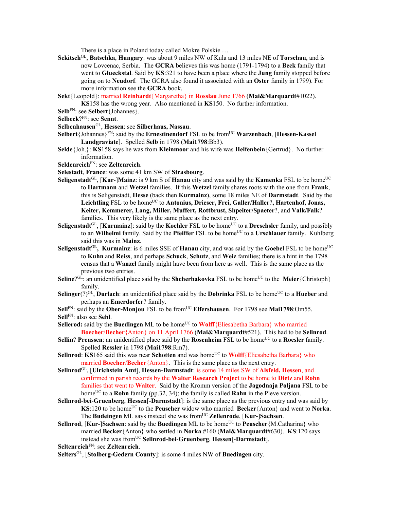There is a place in Poland today called Mokre Polskie …

- **Sekitsch**GL, **Batschka**, **Hungary**: was about 9 miles NW of Kula and 13 miles NE of **Torschau**, and is now Lovcenac, Serbia. The **GCRA** believes this was home (1791-1794) to a **Beck** family that went to **Glueckstal**. Said by **KS**:321 to have been a place where the **Jung** family stopped before going on to **Neudorf**. The GCRA also found it associated with an **Oster** family in 1799). For more information see the **GCRA** book.
- **Sekt**{Leopold}: married **Reinhardt**{Margaretha} in **Rosslau** June 1766 (**Mai&Marquardt**#1022). **KS**158 has the wrong year. Also mentioned in **KS**150. No further information.
- **Selb**FN: see **Selbert**{Johannes}.
- **Selbeck**?FN: see **Sennt**.
- **Selbenhausen**GL, **Hessen**: see **Silberhaus, Nassau**.
- Selbert {Johannes}<sup>FN</sup>: said by the **Ernestinendorf** FSL to be from<sup>UC</sup> **Warzenbach**, [**Hessen-Kassel**] **Landgraviate**]. Spelled **Selb** in 1798 (**Mai1798**:Bb3).
- **Selde**{Joh.}: **KS**158 says he was from **Kleinmoor** and his wife was **Helfenbein**{Gertrud}. No further information.
- **Seldenreich**FN: see **Zeltenreich**.
- **Selestadt**, **France**: was some 41 km SW of **Strasbourg**.
- **Seligenstadt**<sup>GL</sup>, [**Kur-**]**Mainz**: is 9 km S of **Hanau** city and was said by the **Kamenka** FSL to be home<sup>UC</sup> to **Hartmann** and **Wetzel** families. If this **Wetzel** family shares roots with the one from **Frank**, this is Seligenstadt, **Hesse** (back then **Kurmainz**), some 18 miles NE of **Darmstadt**.Said by the Leichtling FSL to be home<sup>UC</sup> to Antonius, Drieser, Frei, Galler/Haller?, Hartenhof, Jonas, **Keiter, Kemmerer, Lang, Miller, Muffert, Rottbrust, Shpeiter/Spaeter**?, and **Valk/Falk**? families. This very likely is the same place as the next entry.
- **Seligenstadt**<sup>GL</sup>, [**Kurmainz**]: said by the **Koehler** FSL to be home<sup>UC</sup> to a **Dreschsler** family, and possibly to an Wilhelmi family. Said by the Pfeiffer FSL to be home<sup>UC</sup> to a Urschlauer family. Kuhlberg said this was in **Mainz**.
- **Seligenstadt**<sup>GL</sup>, **Kurmainz**: is 6 miles SSE of **Hanau** city, and was said by the **Goebel** FSL to be home<sup>UC</sup> to **Kuhn** and **Reiss**, and perhaps **Schuck**, **Schutz**, and **Weiz** families; there is a hint in the 1798 census that a **Wanzel** family might have been from here as well. This is the same place as the previous two entries.
- **Seline**?<sup>GL:</sup> an unidentified place said by the **Shcherbakovka** FSL to be home<sup>UC</sup> to the **Meier**{Christoph} family.
- **Selinger**(?)<sup>GL</sup>, **Durlach**: an unidentified place said by the **Dobrinka** FSL to be home<sup>UC</sup> to a **Hueber** and perhaps an **Emerdorfer**? family.
- Sell<sup>FN</sup>: said by the Ober-Monjou FSL to be from<sup>UC</sup> Elfershausen. For 1798 see Mai1798:Om55. **Sell**FN: also see **Sehl**.
- **Sellerod:** said by the **Buedingen** ML to be home<sup>UC</sup> to **Wolff**{Eliesabetha Barbara} who married **Boecher**/**Becher**{Anton} on 11 April 1766 (**Mai&Marquardt**#521). This had to be **Sellnrod**.
- **Sellin? Preussen:** an unidentified place said by the **Rosenheim** FSL to be home<sup>UC</sup> to a **Roesler** family. Spelled **Ressler** in 1798 (**Mai1798**:Rm7).
- **Sellnrod: KS**165 said this was near **Schotten** and was home<sup>UC</sup> to **Wolff**{Eliesabetha Barbara} who married **Boecher**/**Becher**{Anton}. This is the same place as the next entry.
- **Sellnrod**GL, [**Ulrichstein Amt**], **Hessen-Darmstadt**: is some 14 miles SW of **Alsfeld, Hessen**, and confirmed in parish records by the **Walter Research Project** to be home to **Dietz** and **Rohn** families that went to **Walter**. Said by the Kromm version of the **Jagodnaja Poljana** FSL to be home<sup>UC</sup> to a **Rohn** family (pp.32, 34); the family is called **Rahn** in the Pleve version.
- **Sellnrod**-**bei**-**Gruenberg**, **Hessen**[-**Darmstadt**]: is the same place as the previous entry and was said by **KS**:120 to be home<sup>UC</sup> to the **Peuscher** widow who married **Becker**{Anton} and went to **Norka**. The **Budeingen** ML says instead she was from<sup>UC</sup> **Zellenrode**, [**Kur-**]Sachsen.
- **Sellnrod**, [**Kur-**]**Sachsen**: said by the **Buedingen** ML to be home<sup>UC</sup> to **Peuscher**{M.Catharina} who married **Becker**{Anton} who settled in **Norka** #160 (**Mai&Marquardt**#630). **KS**:120 says instead she was fromUC **Sellnrod**-**bei**-**Gruenberg**, **Hessen**[-**Darmstadt**].

**Seltenreich**FN: see **Zeltenreich**.

**Selters**GL, [**Stolberg-Gedern County**]: is some 4 miles NW of **Buedingen** city.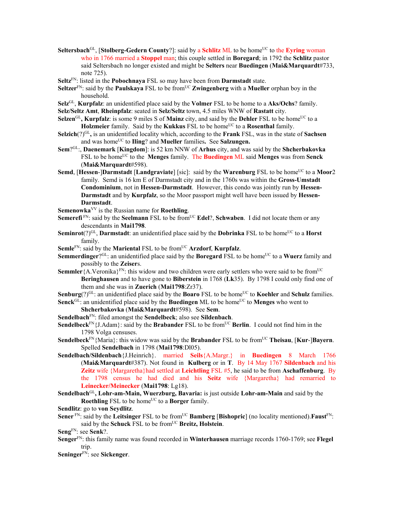- **Seltersbach**<sup>GL</sup>, [**Stolberg-Gedern County**?]: said by a **Schlitz** ML to be home<sup>UC</sup> to the **Eyring** woman who in 1766 married a **Stoppel** man; this couple settled in **Boregard**; in 1792 the **Schlitz** pastor said Seltersbach no longer existed and might be **Selters** near **Buedingen** (**Mai&Marquardt**#733, note 725).
- **Seltz**FN: listed in the **Pobochnaya** FSL so may have been from **Darmstadt** state.
- Seltzer<sup>FN</sup>: said by the **Paulskaya** FSL to be from<sup>UC</sup> Zwingenberg with a Mueller orphan boy in the household.
- **Selz**GL, **Kurpfalz**: an unidentified place said by the **Volmer** FSL to be home to a **Aks/Ochs**? family.

**Selz/Seltz Amt**, **Rheinpfalz**: seated in **Selz/Seltz** town, 4.5 miles WNW of **Rastatt** city.

- Selzen<sup>GL</sup>, Kurpfalz: is some 9 miles S of Mainz city, and said by the Dehler FSL to be home<sup>UC</sup> to a **Holzmeier** family. Said by the **Kukkus** FSL to be home<sup>UC</sup> to a **Rosenthal** family.
- **Selzich**(?)GL**,** is an unidentified locality which, according to the **Frank** FSL, was in the state of **Sachsen** and was home<sup>UC</sup> to **Iling**? and **Mueller** families. See **Salzungen.**
- **Sem**?GL:, **Daenemark** [**Kingdom**]: is 52 km NNW of **Arhus** city, and was said by the **Shcherbakovka** FSL to be homeUC to the **Menges** family. The **Buedingen** ML said **Menges** was from **Senck** (**Mai&Marquardt**#598).
- **Semd, [Hessen-]Darmstadt [Landgraviate]** [sic]: said by the **Warenburg** FSL to be home<sup>UC</sup> to a **Moor**2 family. Semd is 16 km E of Darmstadt city and in the 1760s was within the **Gross-Umstadt Condominium**, not in **Hessen-Darmstadt**. However, this condo was jointly run by **Hessen-Darmstadt** and by **Kurpfalz**, so the Moor passport might well have been issued by **Hessen-Darmstadt**.

**Semenowka**VV is the Russian name for **Roethling**.

- **Semerefi**<sup>FN</sup>: said by the **Seelmann** FSL to be from<sup>UC</sup> **Edel**?, **Schwaben**. I did not locate them or any descendants in **Mai1798**.
- **Seminrot** $(?)^{GL}$ , **Darmstadt**: an unidentified place said by the **Dobrinka** FSL to be home<sup>UC</sup> to a **Horst** family.
- **Semle**FN: said by the **Mariental** FSL to be from<sup>UC</sup> **Arzdorf**, **Kurpfalz**.
- **Semmerdinger**?<sup>GL</sup>: an unidentified place said by the **Boregard** FSL to be home<sup>UC</sup> to a **Wuerz** family and possibly to the **Zeiser**s.
- **Semmler** {A.Veronika}<sup>FN</sup>: this widow and two children were early settlers who were said to be from<sup>UC</sup> **Beringhausen** and to have gone to **Biberstein** in 1768 (**Lk**35). By 1798 I could only find one of them and she was in **Zuerich** (**Mai1798**:Zr37).
- **Senburg**(?)<sup>GL</sup>: an unidentified place said by the **Boaro** FSL to be home<sup>UC</sup> to **Koehler** and **Schulz** families. Senck<sup>GL:</sup> an unidentified place said by the **Buedingen** ML to be home<sup>UC</sup> to **Menges** who went to

**Shcherbakovka** (**Mai&Marquardt**#598). See **Sem**.

- **Sendelbach**FN: filed amongst the **Sendelbeck**; also see **Sildenbach**.
- **Sendelbeck**FN{J.Adam}: said by the **Brabander** FSL to be from<sup>UC</sup> **Berlin**. I could not find him in the 1798 Volga censuses.
- **Sendelbeck**<sup>FN</sup>{Maria}: this widow was said by the **Brabander** FSL to be from<sup>UC</sup> **Theisau**, [**Kur-**]**Bayern**. Spelled **Sendelbach** in 1798 (**Mai1798**:Dl05).
- **Sendelbach/Sildenbach**{J.Heinrich}. married **Seils**{A.Margr.} in **Buedingen** 8 March 1766 (**Mai&Marquardt**#387). Not found in **Kulberg** or in **T**. By 14 May 1767 **Sildenbach** and his **Zeitz** wife {Margaretha}had settled at **Leichtling** FSL #5, he said to be from **Aschaffenburg**. By the 1798 census he had died and his **Seitz** wife {Margaretha} had remarried to **Leinecker/Meinecker** (**Mai1798**: Lg18).
- **Sendelbach**GL**, Lohr-am-Main, Wuerzburg, Bavaria:** is just outside **Lohr-am-Main** and said by the **Roethling** FSL to be home<sup>UC</sup> to a **Borger** family.
- **Sendlitz**: go to **von Seydlitz**.
- **Sener** FN: said by the **Leitsinger** FSL to be from<sup>UC</sup> **Bamberg** [Bishopric] (no locality mentioned).**Faust**<sup>FN:</sup> said by the **Schuck** FSL to be from<sup>UC</sup> Breitz, Holstein.

**Seng**FN: see **Senk**?.

**Senger**FN: this family name was found recorded in **Winterhausen** marriage records 1760-1769; see **Flegel** trip.

**Seninger**FN: see **Sickenger**.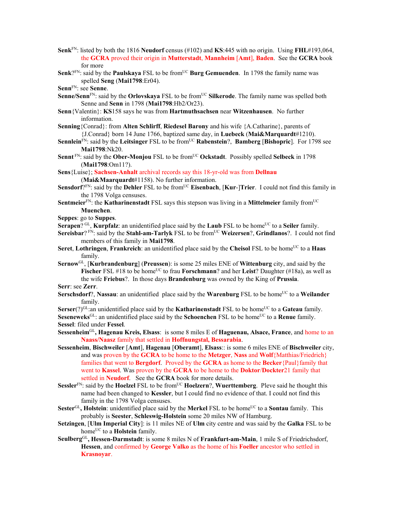- **Senk**FN: listed by both the 1816 **Neudorf** census (#102) and **KS**:445 with no origin. Using **FHL**#193,064, the **GCRA** proved their origin in **Mutterstadt**, **Mannheim** [**Amt**], **Baden**. See the **GCRA** book for more
- **Senk**?FN: said by the **Paulskaya** FSL to be from<sup>UC</sup> Burg Gemuenden. In 1798 the family name was spelled **Seng** (**Mai1798**:Er04).
- **Senn**FN: see **Senne**.
- **Senne/Senn**<sup>FN</sup>: said by the **Orlovskaya** FSL to be from<sup>UC</sup> Silkerode. The family name was spelled both Senne and **Senn** in 1798 (**Mai1798**:Hb2/Or23).
- **Senn**{Valentin}: **KS**158 says he was from **Hartmuthsachsen** near **Witzenhausen**. No further information.
- **Senning**{Conrad}: from **Alten Schlirff**, **Riedesel Barony** and his wife {A.Catharine}, parents of {J.Conrad} born 14 June 1766, baptized same day, in **Luebeck** (**Mai&Marquardt**#1210).
- **Sennlein**<sup>FN</sup>: said by the **Leitsinger** FSL to be from<sup>UC</sup> **Rabenstein**?, **Bamberg** [Bishopric]. For 1798 see **Mai1798**:Nk20.
- **Sennt**<sup>FN</sup>: said by the **Ober-Monjou** FSL to be from<sup>UC</sup> **Ockstadt**. Possibly spelled **Selbeck** in 1798 (**Mai1798**:Om11?).

**Sens**{Luise}; **Sachsen-Anhalt** archival records say this 18-yr-old was from **Dellnau**

(**Mai&Maarquardt**#1158). No further information.

- **Sensdorf**?FN: said by the **Dehler** FSL to be fromUC **Eisenbach**, [**Kur**-]**Trier**. I could not find this family in the 1798 Volga censuses.
- **Sentmeier**<sup>FN</sup>: the **Katharinenstadt** FSL says this stepson was living in a **Mittelmeier** family from<sup>UC</sup> **Muenchen**.
- **Seppes**: go to **Suppes**.
- **Serapen**? GL, **Kurpfalz**: an unidentified place said by the **Laub** FSL to be home<sup>UC</sup> to a **Seiler** family.
- **Sereisbar**? FN: said by the **Stahl-am-Tarlyk** FSL to be from<sup>UC</sup> Weizersen?, Grindlanos?. I could not find members of this family in **Mai1798**.
- **Seret, Lothringen, Frankreich**: an unidentified place said by the Cheisol FSL to be home<sup>UC</sup> to a **Haas** family.
- **Sernow**GL, [**Kurbrandenburg**] (**Preussen**): is some 25 miles ENE of **Wittenburg** city, and said by the **Fischer** FSL #18 to be home<sup>UC</sup> to frau **Forschmann**? and her **Leist**? Daughter (#18a), as well as the wife **Friebus**?. In those days **Brandenburg** was owned by the King of **Prussia**.

**Serr**: see **Zerr**.

**Serschsdorf**?, **Nassau**: an unidentified place said by the **Warenburg** FSL to be home<sup>UC</sup> to a **Weilander** family.

**Serser**(?)<sup>GL</sup>:an unidentified place said by the **Katharinenstadt** FSL to be home<sup>UC</sup> to a **Gateau** family.

**Seseneweks**<sup>GL</sup>: an unidentified place said by the **Schoenchen** FSL to be home<sup>UC</sup> to a **Renue** family. **Sessel**: filed under **Fessel**.

**Sessenheim**GL**, Hagenau Kreis, Elsass**: is some 8 miles E of **Haguenau, Alsace, France**, and home to an **Naass/Naasz** family that settled in **Hoffnungstal, Bessarabia**.

- **Sessenheim**, **Bischweiler** [**Amt**], **Hagenau** [**Oberamt**], **Elsass**:: is some 6 miles ENE of **Bischweiler** city, and was proven by the **GCRA** to be home to the **Metzger**, **Nass** and **Wolf**{Matthias/Friedrich} families that went to **Bergdorf**. Proved by the **GCRA** as home to the **Becker**{Paul}family that went to **Kassel**. Was proven by the **GCRA** to be home to the **Doktor**/**Dockter**21 family that settled in **Neudorf**. See the **GCRA** book for more details.
- **Sessler**FN: said by the **Hoelzel** FSL to be fromUC **Hoelzern**?, **Wuerttemberg**. Pleve said he thought this name had been changed to **Kessler**, but I could find no evidence of that. I could not find this family in the 1798 Volga censuses.
- **Sester**<sup>GL</sup>, **Holstein**: unidentified place said by the **Merkel** FSL to be home<sup>UC</sup> to a **Sontau** family. This probably is **Seester**, **Schleswig-Holstein** some 20 miles NW of Hamburg.
- **Setzingen**, [**Ulm Imperial City**]: is 11 miles NE of **Ulm** city centre and was said by the **Galka** FSL to be home<sup>UC</sup> to a **Holstein** family.
- **Seulberg**GL**, Hessen-Darmstadt**: is some 8 miles N of **Frankfurt-am-Main**, 1 mile S of Friedrichsdorf, **Hessen**, and confirmed by **George Valko** as the home of his **Foeller** ancestor who settled in **Krasnoyar**.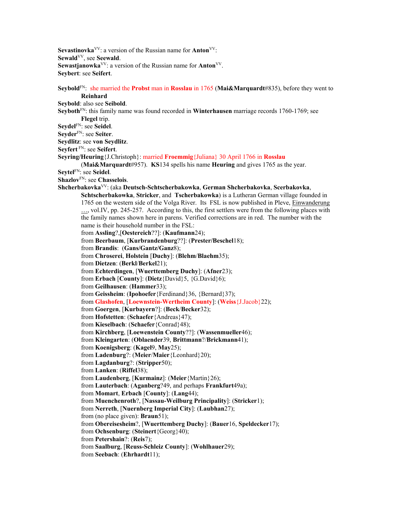Sevastinovka<sup>VV</sup>: a version of the Russian name for **Anton**<sup>VV</sup>: **Sewald**VV, see **Seewald**. **Sewastjanowka**VV: a version of the Russian name for **Anton**VV. **Seybert**: see **Seifert**.

**Seybold**FN: she married the **Probst** man in **Rosslau** in 1765 (**Mai&Marquardt**#835), before they went to **Reinhard Seybold**: also see **Seibold**. **Seyboth**FN: this family name was found recorded in **Winterhausen** marriage records 1760-1769; see **Flegel** trip. **Seydel**FN: see **Seidel**. **Seyder**FN: see **Seiter**. **Seydlitz**: see **von Seydlitz**. **Seyfert** FN: see **Seifert**. **Seyring/Heuring**{J.Christoph}: married **Froemmig**{Juliana} 30 April 1766 in **Rosslau** (**Mai&Marquardt**#957). **KS**134 spells his name **Heuring** and gives 1765 as the year. **Seytel**FN: see **Seidel**. **Shazlov**FN: see **Chasselois**. **Shcherbakovka**VV: (aka **Deutsch-Schtscherbakowka**, **German Shcherbakovka**, **Scerbakovka**, **Schtscherbakowka**, **Stricker**, and **Tscherbakowka**) is a Lutheran German village founded in 1765 on the western side of the Volga River. Its FSL is now published in Pleve, Einwanderung ..., vol.IV, pp. 245-257. According to this, the first settlers were from the following places with the family names shown here in parens. Verified corrections are in red. The number with the name is their household number in the FSL: from **Assling**?,[**Oestereich**??]: (**Kaufmann**24); from **Beerbaum**, [**Kurbrandenburg**??]: (**Prester/Beschel**18); from **Brandis**: (**Gans/Gantz/Ganz**8); from **Chroserei**, **Holstein** [**Duchy**]: (**Blehm**/**Blaehm**35); from **Dietzen**: (**Berkl**/**Berkel**21); from **Echterdingen**, [**Wuerttemberg Duchy**]: (**Afner**23); from **Erbach** [**County**]: (**Dietz**{David}5, {G.David}6); from **Geilhausen**: (**Hammer**33); from **Geissheim**: (**Ipohoefer**{Ferdinand}36, {Bernard}37); from **Glashofen**, [**Loewnstein-Wertheim County**]: (**Weiss**{J.Jacob}22); from **Goergen**, [**Kurbayern**?]: (**Beck**/**Becker**32); from **Hofstetten**: (**Schaefer**{Andreas}47); from **Kieselbach**: (**Schaefer**{Conrad}48); from **Kirchberg**, [**Loewenstein County**??]: (**Wassenmueller**46); from **Kleingarten**: (**Oblaender**39, **Brittmann**?/**Brickmann**41); from **Koenigsberg**: (**Kagel**9, **May**25); from **Ladenburg**?: (**Meier**/**Maier**{Leonhard}20); from **Lagdanburg**?: (**Stripper**50);

from **Lanken**: (**Riffel**38); from **Laudenberg**, [**Kurmainz**]: (**Meier**{Martin}26); from **Lauterbach**: (**Aganberg**?49, and perhaps **Frankfurt**49a); from **Momart**, **Erbach** [**County**]: (**Lang**44);

from **Muenchenroth**?, [**Nassau-Weilburg Principality**]: (**Stricker**1);

from **Nerreth**, [**Nuernberg Imperial City**]: (**Laubhan**27);

from (no place given): **Braun**51);

from **Obereisesheim**?, [**Wuerttemberg Duchy**]: (**Bauer**16, **Speldecker**17);

from **Ochsenburg**: (**Steinert**{Georg}40);

from **Petershain**?: (**Reis**7);

from **Saalburg**, [**Reuss-Schleiz County**]: (**Wohlhauer**29);

from **Seebach**: (**Ehrhardt**11);